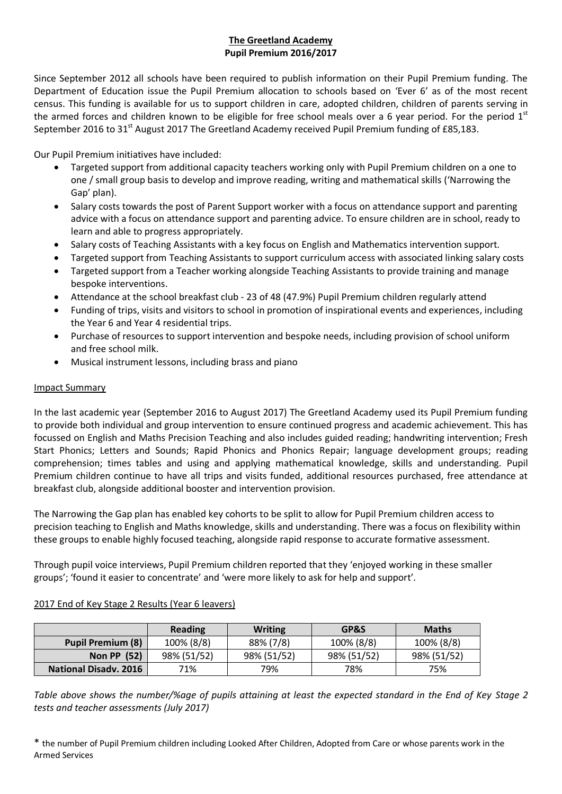# **The Greetland Academy Pupil Premium 2016/2017**

Since September 2012 all schools have been required to publish information on their Pupil Premium funding. The Department of Education issue the Pupil Premium allocation to schools based on 'Ever 6' as of the most recent census. This funding is available for us to support children in care, adopted children, children of parents serving in the armed forces and children known to be eligible for free school meals over a 6 year period. For the period  $1<sup>st</sup>$ September 2016 to 31<sup>st</sup> August 2017 The Greetland Academy received Pupil Premium funding of £85,183.

Our Pupil Premium initiatives have included:

- Targeted support from additional capacity teachers working only with Pupil Premium children on a one to one / small group basis to develop and improve reading, writing and mathematical skills ('Narrowing the Gap' plan).
- Salary costs towards the post of Parent Support worker with a focus on attendance support and parenting advice with a focus on attendance support and parenting advice. To ensure children are in school, ready to learn and able to progress appropriately.
- Salary costs of Teaching Assistants with a key focus on English and Mathematics intervention support.
- Targeted support from Teaching Assistants to support curriculum access with associated linking salary costs
- Targeted support from a Teacher working alongside Teaching Assistants to provide training and manage bespoke interventions.
- Attendance at the school breakfast club 23 of 48 (47.9%) Pupil Premium children regularly attend
- Funding of trips, visits and visitors to school in promotion of inspirational events and experiences, including the Year 6 and Year 4 residential trips.
- Purchase of resources to support intervention and bespoke needs, including provision of school uniform and free school milk.
- Musical instrument lessons, including brass and piano

## Impact Summary

In the last academic year (September 2016 to August 2017) The Greetland Academy used its Pupil Premium funding to provide both individual and group intervention to ensure continued progress and academic achievement. This has focussed on English and Maths Precision Teaching and also includes guided reading; handwriting intervention; Fresh Start Phonics; Letters and Sounds; Rapid Phonics and Phonics Repair; language development groups; reading comprehension; times tables and using and applying mathematical knowledge, skills and understanding. Pupil Premium children continue to have all trips and visits funded, additional resources purchased, free attendance at breakfast club, alongside additional booster and intervention provision.

The Narrowing the Gap plan has enabled key cohorts to be split to allow for Pupil Premium children access to precision teaching to English and Maths knowledge, skills and understanding. There was a focus on flexibility within these groups to enable highly focused teaching, alongside rapid response to accurate formative assessment.

Through pupil voice interviews, Pupil Premium children reported that they 'enjoyed working in these smaller groups'; 'found it easier to concentrate' and 'were more likely to ask for help and support'.

|                              | <b>Reading</b> | <b>Writing</b> | GP&S        | <b>Maths</b> |
|------------------------------|----------------|----------------|-------------|--------------|
| <b>Pupil Premium (8)</b>     | 100% (8/8)     | 88% (7/8)      | 100% (8/8)  | 100% (8/8)   |
| <b>Non PP (52)</b>           | 98% (51/52)    | 98% (51/52)    | 98% (51/52) | 98% (51/52)  |
| <b>National Disady, 2016</b> | 71%            | 79%            | 78%         | 75%          |

## 2017 End of Key Stage 2 Results (Year 6 leavers)

*Table above shows the number/%age of pupils attaining at least the expected standard in the End of Key Stage 2 tests and teacher assessments (July 2017)*

\* the number of Pupil Premium children including Looked After Children, Adopted from Care or whose parents work in the Armed Services